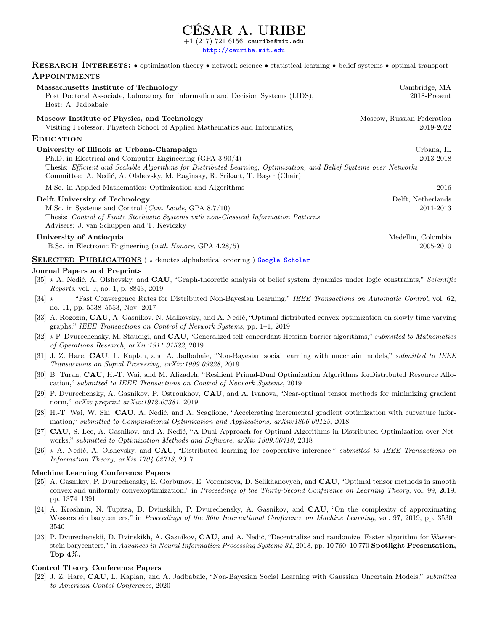# **SAR A. URIBE**

 $(217)$   $721$   $6156$ , cauribe@mit.edu

<http://cauribe.mit.edu>

RESEARCH INTERESTS:  $\bullet$  optimization theory  $\bullet$  network science  $\bullet$  statistical learning  $\bullet$  belief systems  $\bullet$  optimal transport **APPOINTMENTS** 

| <b>APPOINTMENTS</b>                                                                                                                                                                                                                                                                                           |                                         |
|---------------------------------------------------------------------------------------------------------------------------------------------------------------------------------------------------------------------------------------------------------------------------------------------------------------|-----------------------------------------|
| Massachusetts Institute of Technology<br>Post Doctoral Associate, Laboratory for Information and Decision Systems (LIDS),<br>Host: A. Jadbabaie                                                                                                                                                               | Cambridge, MA<br>2018-Present           |
| Moscow Institute of Physics, and Technology<br>Visiting Professor, Phystech School of Applied Mathematics and Informatics,                                                                                                                                                                                    | Moscow, Russian Federation<br>2019-2022 |
| <b>EDUCATION</b>                                                                                                                                                                                                                                                                                              |                                         |
| University of Illinois at Urbana-Champaign<br>Ph.D. in Electrical and Computer Engineering (GPA 3.90/4)<br>Thesis: Efficient and Scalable Algorithms for Distributed Learning, Optimization, and Belief Systems over Networks<br>Committee: A. Nedić, A. Olshevsky, M. Raginsky, R. Srikant, T. Başar (Chair) | Urbana, IL<br>2013-2018                 |
| M.Sc. in Applied Mathematics: Optimization and Algorithms                                                                                                                                                                                                                                                     | 2016                                    |
| Delft University of Technology<br>M.Sc. in Systems and Control ( <i>Cum Laude</i> , GPA $8.7/10$ )<br>Thesis: Control of Finite Stochastic Systems with non-Classical Information Patterns<br>Advisers: J. van Schuppen and T. Keviczky                                                                       | Delft, Netherlands<br>2011-2013         |
| University of Antioquia<br>B.Sc. in Electronic Engineering (with Honors, GPA 4.28/5)                                                                                                                                                                                                                          | Medellin, Colombia<br>2005-2010         |
| SELECTED PUBLICATIONS (* denotes alphabetical ordering) Google Scholar                                                                                                                                                                                                                                        |                                         |
| Journal Papers and Preprints                                                                                                                                                                                                                                                                                  |                                         |
| $[35] \star A$ . Nedić, A. Olshevsky, and <b>CAU</b> , "Graph-theoretic analysis of belief system dynamics under logic constraints," Scientific<br>Reports, vol. 9, no. 1, p. 8843, 2019                                                                                                                      |                                         |
| [34] * —, "Fast Convergence Rates for Distributed Non-Bayesian Learning," IEEE Transactions on Automatic Control, vol. 62,<br>no. 11, pp. 5538–5553, Nov. 2017                                                                                                                                                |                                         |
| [33] A. Rogozin, CAU, A. Gasnikov, N. Malkovsky, and A. Nedić, "Optimal distributed convex optimization on slowly time-varying<br>graphs," IEEE Transactions on Control of Network Systems, pp. $1-1$ , 2019                                                                                                  |                                         |
| $\mathcal{L}$ , and the south $\mathcal{L}$ , and the south of the south of the south of the south of the south of the south of the south of the south of the south of the south of the south of the south of the south of the south of                                                                       |                                         |

- [32]  $\star$  P. Dvurechensky, M. Staudigl, and **CAU**, "Generalized self-concordant Hessian-barrier algorithms," submitted to Mathematics of Operations Research, arXiv:1911.01522, 2019
- [31] J. Z. Hare, CAU, L. Kaplan, and A. Jadbabaie, "Non-Bayesian social learning with uncertain models," submitted to IEEE Transactions on Signal Processing, arXiv:1909.09228, 2019
- [30] B. Turan, CAU, H.-T. Wai, and M. Alizadeh, "Resilient Primal-Dual Optimization Algorithms forDistributed Resource Allocation," submitted to IEEE Transactions on Control of Network Systems, 2019
- [29] P. Dvurechensky, A. Gasnikov, P. Ostroukhov, CAU, and A. Ivanova, "Near-optimal tensor methods for minimizing gradient norm," arXiv preprint arXiv:1912.03381, 2019
- [28] H.-T. Wai, W. Shi, CAU, A. Nedić, and A. Scaglione, "Accelerating incremental gradient optimization with curvature information," submitted to Computational Optimization and Applications, arXiv:1806.00125, 2018
- [27] CAU, S. Lee, A. Gasnikov, and A. Nedić, "A Dual Approach for Optimal Algorithms in Distributed Optimization over Networks," submitted to Optimization Methods and Software, arXiv 1809.00710, 2018
- [26]  $\star$  A. Nedić, A. Olshevsky, and CAU, "Distributed learning for cooperative inference," submitted to IEEE Transactions on Information Theory, arXiv:1704.02718, 2017

#### Machine Learning Conference Papers

- [25] A. Gasnikov, P. Dvurechensky, E. Gorbunov, E. Vorontsova, D. Selikhanovych, and CAU, "Optimal tensor methods in smooth convex and uniformly convexoptimization," in Proceedings of the Thirty-Second Conference on Learning Theory, vol. 99, 2019, pp. 1374–1391
- [24] A. Kroshnin, N. Tupitsa, D. Dvinskikh, P. Dvurechensky, A. Gasnikov, and CAU, "On the complexity of approximating Wasserstein barycenters," in Proceedings of the 36th International Conference on Machine Learning, vol. 97, 2019, pp. 3530– 3540
- [23] P. Dvurechenskii, D. Dvinskikh, A. Gasnikov, CAU, and A. Nedić, "Decentralize and randomize: Faster algorithm for Wasserstein barycenters," in Advances in Neural Information Processing Systems 31, 2018, pp. 10 760–10 770 Spotlight Presentation, Top 4%.

#### Control Theory Conference Papers

[22] J. Z. Hare, CAU, L. Kaplan, and A. Jadbabaie, "Non-Bayesian Social Learning with Gaussian Uncertain Models," submitted to American Contol Conference, 2020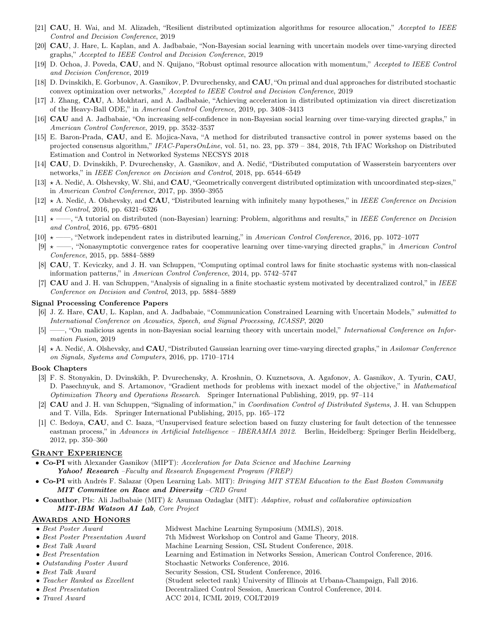- [21] **CAU**, H. Wai, and M. Alizadeh, "Resilient distributed optimization algorithms for resource allocation," Accepted to IEEE Control and Decision Conference, 2019
- [20] CAU, J. Hare, L. Kaplan, and A. Jadbabaie, "Non-Bayesian social learning with uncertain models over time-varying directed graphs," Accepted to IEEE Control and Decision Conference, 2019
- [19] D. Ochoa, J. Poveda, CAU, and N. Quijano, "Robust optimal resource allocation with momentum," Accepted to IEEE Control and Decision Conference, 2019
- [18] D. Dvinskikh, E. Gorbunov, A. Gasnikov, P. Dvurechensky, and CAU, "On primal and dual approaches for distributed stochastic convex optimization over networks," Accepted to IEEE Control and Decision Conference, 2019
- [17] J. Zhang, CAU, A. Mokhtari, and A. Jadbabaie, "Achieving acceleration in distributed optimization via direct discretization of the Heavy-Ball ODE," in Americal Control Conference, 2019, pp. 3408–3413
- [16] CAU and A. Jadbabaie, "On increasing self-confidence in non-Bayesian social learning over time-varying directed graphs," in American Control Conference, 2019, pp. 3532–3537
- [15] E. Baron-Prada, CAU, and E. Mojica-Nava, "A method for distributed transactive control in power systems based on the projected consensus algorithm," IFAC-PapersOnLine, vol. 51, no. 23, pp. 379 – 384, 2018, 7th IFAC Workshop on Distributed Estimation and Control in Networked Systems NECSYS 2018
- [14] CAU, D. Dvinskikh, P. Dvurechensky, A. Gasnikov, and A. Nedić, "Distributed computation of Wasserstein barycenters over networks," in IEEE Conference on Decision and Control, 2018, pp. 6544–6549
- [13]  $\star$  A. Nedić, A. Olshevsky, W. Shi, and CAU, "Geometrically convergent distributed optimization with uncoordinated step-sizes," in American Control Conference, 2017, pp. 3950–3955
- [12]  $\star$  A. Nedić, A. Olshevsky, and CAU, "Distributed learning with infinitely many hypotheses," in IEEE Conference on Decision and Control, 2016, pp. 6321–6326
- $[11]$   $\star$  ——, "A tutorial on distributed (non-Bayesian) learning: Problem, algorithms and results," in IEEE Conference on Decision and Control, 2016, pp. 6795–6801
- [10]  $\star$  ——, "Network independent rates in distributed learning," in American Control Conference, 2016, pp. 1072–1077
- $[9] \star \text{---}$ , "Nonasymptotic convergence rates for cooperative learning over time-varying directed graphs," in American Control Conference, 2015, pp. 5884–5889
- [8] CAU, T. Keviczky, and J. H. van Schuppen, "Computing optimal control laws for finite stochastic systems with non-classical information patterns," in American Control Conference, 2014, pp. 5742–5747
- [7] CAU and J. H. van Schuppen, "Analysis of signaling in a finite stochastic system motivated by decentralized control," in IEEE Conference on Decision and Control, 2013, pp. 5884–5889

#### Signal Processing Conference Papers

- [6] J. Z. Hare, CAU, L. Kaplan, and A. Jadbabaie, "Communication Constrained Learning with Uncertain Models," submitted to International Conference on Acoustics, Speech, and Signal Processing, ICASSP, 2020
- [5] ——, "On malicious agents in non-Bayesian social learning theory with uncertain model," International Conference on Information Fusion, 2019
- $[4] \star A$ . Nedić, A. Olshevsky, and **CAU**, "Distributed Gaussian learning over time-varying directed graphs," in Asilomar Conference on Signals, Systems and Computers, 2016, pp. 1710–1714

#### Book Chapters

- [3] F. S. Stonyakin, D. Dvinskikh, P. Dvurechensky, A. Kroshnin, O. Kuznetsova, A. Agafonov, A. Gasnikov, A. Tyurin, CAU, D. Pasechnyuk, and S. Artamonov, "Gradient methods for problems with inexact model of the objective," in Mathematical Optimization Theory and Operations Research. Springer International Publishing, 2019, pp. 97–114
- [2] **CAU** and J. H. van Schuppen, "Signaling of information," in *Coordination Control of Distributed Systems*, J. H. van Schuppen and T. Villa, Eds. Springer International Publishing, 2015, pp. 165–172
- [1] C. Bedoya, CAU, and C. Isaza, "Unsupervised feature selection based on fuzzy clustering for fault detection of the tennessee eastman process," in Advances in Artificial Intelligence – IBERAMIA 2012. Berlin, Heidelberg: Springer Berlin Heidelberg, 2012, pp. 350–360

## Grant Experience

- Co-PI with Alexander Gasnikov (MIPT): Acceleration for Data Science and Machine Learning Yahoo! Research -Faculty and Research Engagement Program (FREP)
- Co-PI with Andrés F. Salazar (Open Learning Lab. MIT): Bringing MIT STEM Education to the East Boston Community MIT Committee on Race and Diversity –CRD Grant
- Coauthor, PIs: Ali Jadbabaie (MIT) & Asuman Ozdaglar (MIT): Adaptive, robust and collaborative optimization MIT-IBM Watson AI Lab, Core Project

## Awards and Honors

| $\bullet$ Best Poster Award      | Midwest Machine Learning Symposium (MMLS), 2018.   |
|----------------------------------|----------------------------------------------------|
| • Reet Poster Presentation Award | 7th Midwest Workshop on Control and Came Theory 20 |

- Best Poster Presentation Award 7th Midwest Workshop on Control and Game Theory, 2018. • Best Talk Award Machine Learning Session, CSL Student Conference, 2018.
- Best Presentation Learning and Estimation in Networks Session, American Control Conference, 2016.
- Outstanding Poster Award Stochastic Networks Conference, 2016.
	- Best Talk Award Security Session, CSL Student Conference, 2016.
	- Teacher Ranked as Excellent (Student selected rank) University of Illinois at Urbana-Champaign, Fall 2016.
	- Best Presentation Decentralized Control Session, American Control Conference, 2014.
	- Travel Award ACC 2014, ICML 2019, COLT2019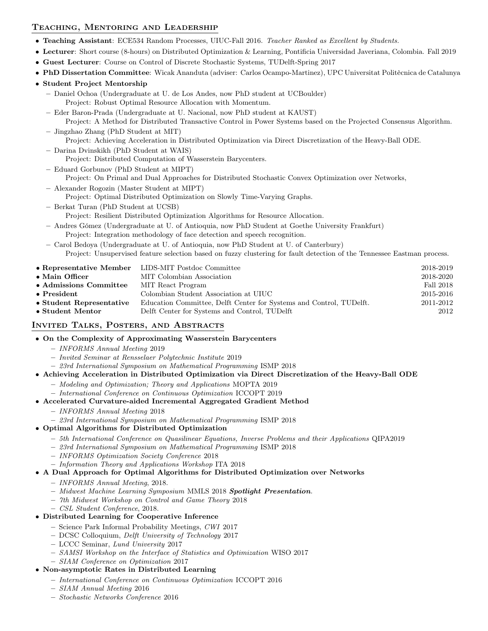# Teaching, Mentoring and Leadership

- Teaching Assistant: ECE534 Random Processes, UIUC-Fall 2016. Teacher Ranked as Excellent by Students.
- Lecturer: Short course (8-hours) on Distributed Optimization & Learning, Pontificia Universidad Javeriana, Colombia. Fall 2019
- Guest Lecturer: Course on Control of Discrete Stochastic Systems, TUDelft-Spring 2017
- PhD Dissertation Committee: Wicak Ananduta (adviser: Carlos Ocampo-Martinez), UPC Universitat Politècnica de Catalunya

## • Student Project Mentorship

- Daniel Ochoa (Undergraduate at U. de Los Andes, now PhD student at UCBoulder) Project: Robust Optimal Resource Allocation with Momentum.
- Eder Baron-Prada (Undergraduate at U. Nacional, now PhD student at KAUST) Project: A Method for Distributed Transactive Control in Power Systems based on the Projected Consensus Algorithm.
- Jingzhao Zhang (PhD Student at MIT) Project: Achieving Acceleration in Distributed Optimization via Direct Discretization of the Heavy-Ball ODE.
- Darina Dvinskikh (PhD Student at WAIS)
	- Project: Distributed Computation of Wasserstein Barycenters.
- Eduard Gorbunov (PhD Student at MIPT) Project: On Primal and Dual Approaches for Distributed Stochastic Convex Optimization over Networks, – Alexander Rogozin (Master Student at MIPT)
	- Project: Optimal Distributed Optimization on Slowly Time-Varying Graphs.
- Berkat Turan (PhD Student at UCSB) Project: Resilient Distributed Optimization Algorithms for Resource Allocation.
- Andres Gómez (Undergraduate at U. of Antioquia, now PhD Student at Goethe University Frankfurt) Project: Integration methodology of face detection and speech recognition.
- Carol Bedoya (Undergraduate at U. of Antioquia, now PhD Student at U. of Canterbury) Project: Unsupervised feature selection based on fuzzy clustering for fault detection of the Tennessee Eastman process.

|                                | • Representative Member LIDS-MIT Postdoc Committee                  | 2018-2019 |
|--------------------------------|---------------------------------------------------------------------|-----------|
| $\bullet$ Main Officer         | MIT Colombian Association                                           | 2018-2020 |
| $\bullet$ Admissions Committee | MIT React Program                                                   | Fall 2018 |
| $\bullet$ President            | Colombian Student Association at UIUC                               | 2015-2016 |
| • Student Representative       | Education Committee, Delft Center for Systems and Control, TUDelft. | 2011-2012 |
| • Student Mentor               | Delft Center for Systems and Control, TUDelft                       | 2012      |

# Invited Talks, Posters, and Abstracts

- On the Complexity of Approximating Wasserstein Barycenters
	- INFORMS Annual Meeting 2019
	- Invited Seminar at Rensselaer Polytechnic Institute 2019
	- 23rd International Symposium on Mathematical Programming ISMP 2018
- Achieving Acceleration in Distributed Optimization via Direct Discretization of the Heavy-Ball ODE
	- Modeling and Optimization; Theory and Applications MOPTA 2019
	- International Conference on Continuous Optimization ICCOPT 2019

## • Accelerated Curvature-aided Incremental Aggregated Gradient Method

- INFORMS Annual Meeting 2018
- 23rd International Symposium on Mathematical Programming ISMP 2018
- Optimal Algorithms for Distributed Optimization
	- 5th International Conference on Quasilinear Equations, Inverse Problems and their Applications QIPA2019
	- 23rd International Symposium on Mathematical Programming ISMP 2018
	- INFORMS Optimization Society Conference 2018
	- Information Theory and Applications Workshop ITA 2018

## • A Dual Approach for Optimal Algorithms for Distributed Optimization over Networks

- INFORMS Annual Meeting, 2018.
- Midwest Machine Learning Symposium MMLS 2018 Spotlight Presentation.
- 7th Midwest Workshop on Control and Game Theory 2018
- CSL Student Conference, 2018.

## • Distributed Learning for Cooperative Inference

- Science Park Informal Probability Meetings, CWI 2017
- DCSC Colloquium, Delft University of Technology 2017
- LCCC Seminar, Lund University 2017
- SAMSI Workshop on the Interface of Statistics and Optimization WISO 2017
- SIAM Conference on Optimization 2017

## • Non-asymptotic Rates in Distributed Learning

- International Conference on Continuous Optimization ICCOPT 2016
- SIAM Annual Meeting 2016
- Stochastic Networks Conference 2016